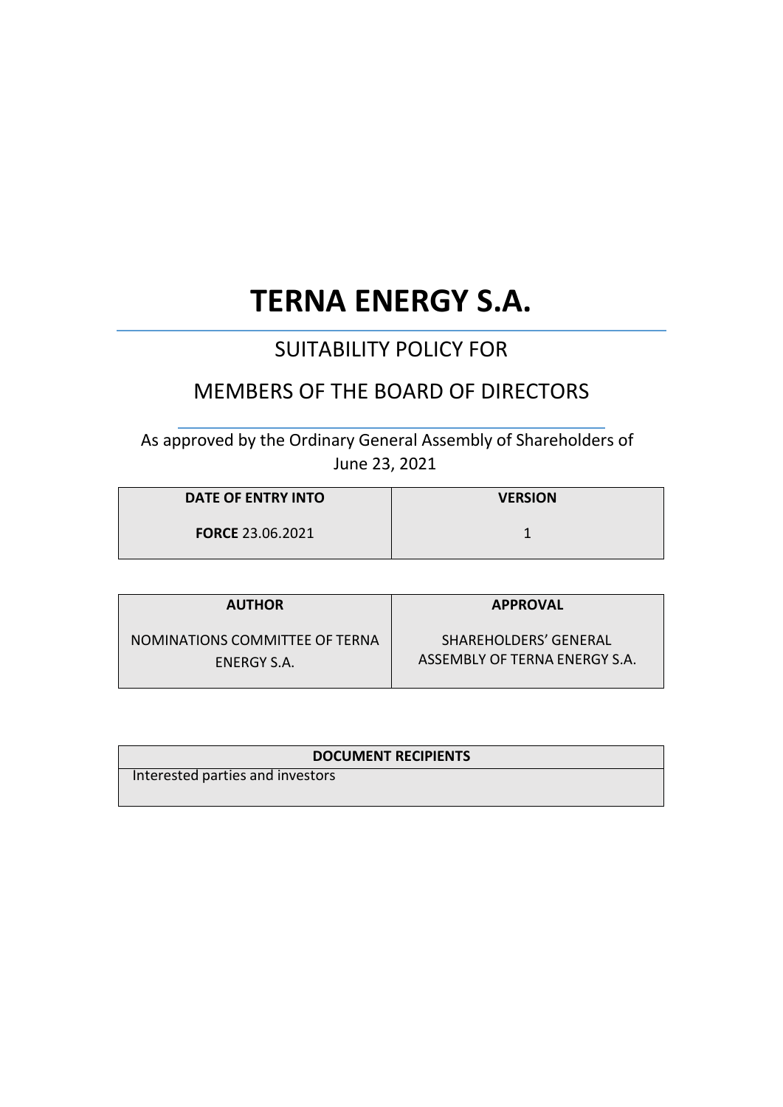# **TERNA ENERGY S.A.**

# SUITABILITY POLICY FOR

# MEMBERS OF THE BOARD OF DIRECTORS

As approved by the Ordinary General Assembly of Shareholders of June 23, 2021

| DATE OF ENTRY INTO      | <b>VERSION</b> |
|-------------------------|----------------|
| <b>FORCE 23.06.2021</b> |                |

| <b>AUTHOR</b>                  | <b>APPROVAL</b>               |
|--------------------------------|-------------------------------|
| NOMINATIONS COMMITTEE OF TERNA | SHAREHOLDERS' GENERAL         |
| ENERGY S.A.                    | ASSEMBLY OF TERNA ENERGY S.A. |

#### **DOCUMENT RECIPIENTS**

Interested parties and investors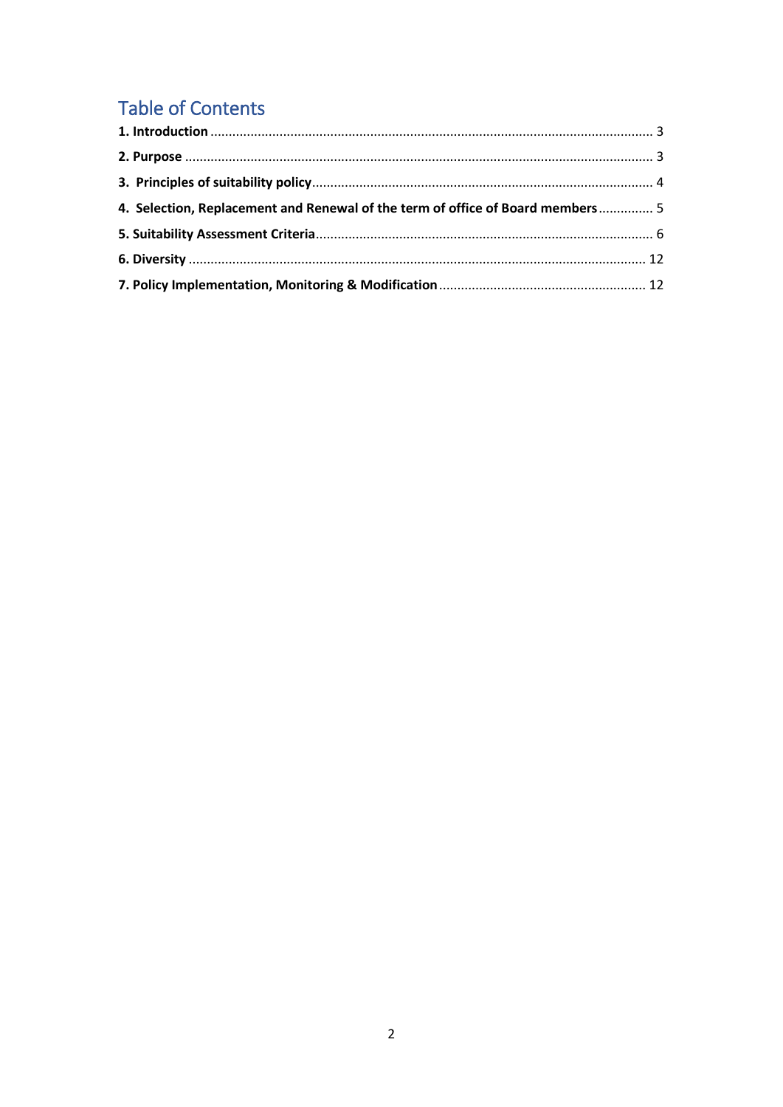# **Table of Contents**

| 4. Selection, Replacement and Renewal of the term of office of Board members 5 |  |
|--------------------------------------------------------------------------------|--|
|                                                                                |  |
|                                                                                |  |
|                                                                                |  |
|                                                                                |  |
|                                                                                |  |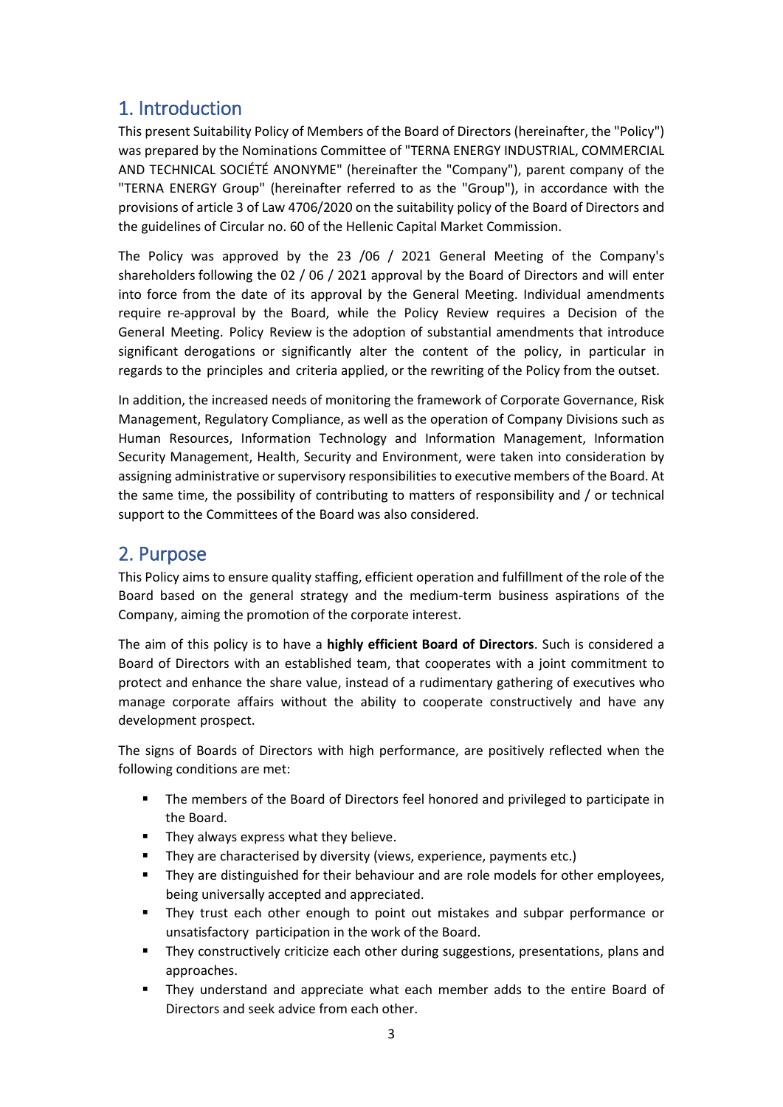### <span id="page-2-0"></span>1. Introduction

This present Suitability Policy of Members of the Board of Directors (hereinafter, the "Policy") was prepared by the Nominations Committee of "TERNA ENERGY INDUSTRIAL, COMMERCIAL AND TECHNICAL SOCIÉTÉ ANONYME" (hereinafter the "Company"), parent company of the "TERNA ENERGY Group" (hereinafter referred to as the "Group"), in accordance with the provisions of article 3 of Law 4706/2020 on the suitability policy of the Board of Directors and the guidelines of Circular no. 60 of the Hellenic Capital Market Commission.

The Policy was approved by the 23 /06 / 2021 General Meeting of the Company's shareholders following the 02 / 06 / 2021 approval by the Board of Directors and will enter into force from the date of its approval by the General Meeting. Individual amendments require re-approval by the Board, while the Policy Review requires a Decision of the General Meeting. Policy Review is the adoption of substantial amendments that introduce significant derogations or significantly alter the content of the policy, in particular in regards to the principles and criteria applied, or the rewriting of the Policy from the outset.

In addition, the increased needs of monitoring the framework of Corporate Governance, Risk Management, Regulatory Compliance, as well as the operation of Company Divisions such as Human Resources, Information Technology and Information Management, Information Security Management, Health, Security and Environment, were taken into consideration by assigning administrative or supervisory responsibilities to executive members of the Board. At the same time, the possibility of contributing to matters of responsibility and / or technical support to the Committees of the Board was also considered.

### <span id="page-2-1"></span>2. Purpose

This Policy aims to ensure quality staffing, efficient operation and fulfillment of the role of the Board based on the general strategy and the medium-term business aspirations of the Company, aiming the promotion of the corporate interest.

The aim of this policy is to have a **highly efficient Board of Directors**. Such is considered a Board of Directors with an established team, that cooperates with a joint commitment to protect and enhance the share value, instead of a rudimentary gathering of executives who manage corporate affairs without the ability to cooperate constructively and have any development prospect.

The signs of Boards of Directors with high performance, are positively reflected when the following conditions are met:

- The members of the Board of Directors feel honored and privileged to participate in the Board.
- $\blacksquare$  They always express what they believe.
- They are characterised by diversity (views, experience, payments etc.)
- They are distinguished for their behaviour and are role models for other employees, being universally accepted and appreciated.
- They trust each other enough to point out mistakes and subpar performance or unsatisfactory participation in the work of the Board.
- They constructively criticize each other during suggestions, presentations, plans and approaches.
- They understand and appreciate what each member adds to the entire Board of Directors and seek advice from each other.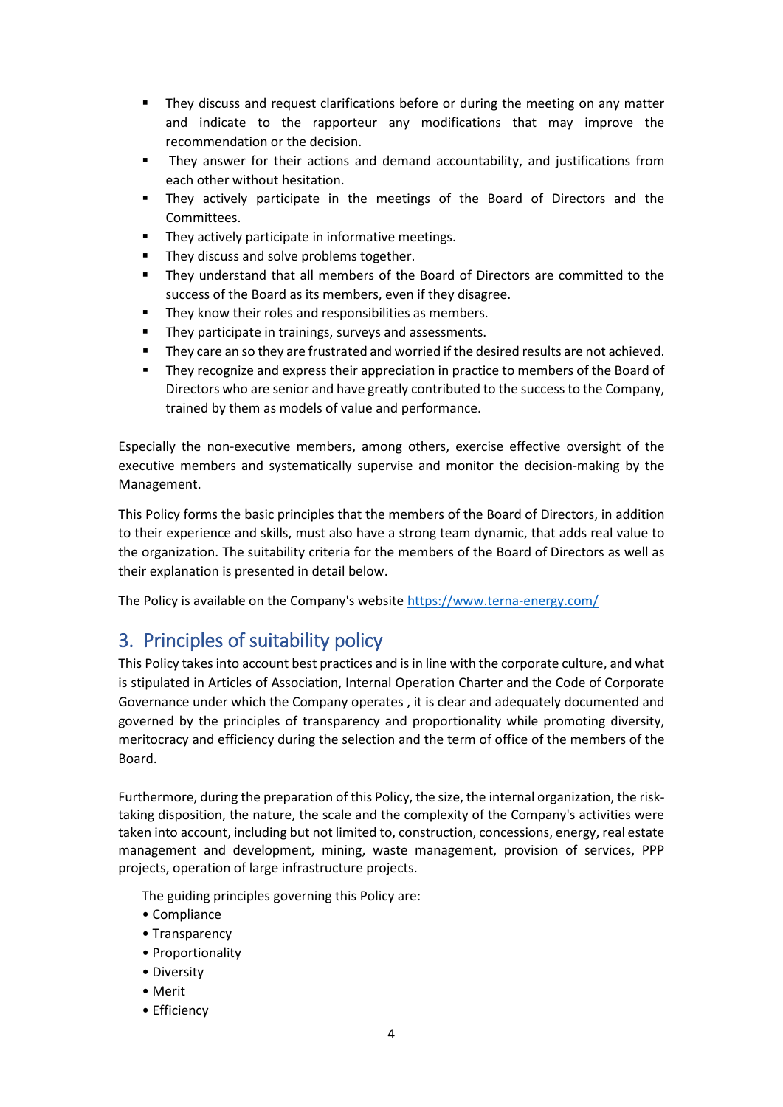- They discuss and request clarifications before or during the meeting on any matter and indicate to the rapporteur any modifications that may improve the recommendation or the decision.
- They answer for their actions and demand accountability, and justifications from each other without hesitation.
- They actively participate in the meetings of the Board of Directors and the Committees.
- They actively participate in informative meetings.
- They discuss and solve problems together.
- They understand that all members of the Board of Directors are committed to the success of the Board as its members, even if they disagree.
- They know their roles and responsibilities as members.
- They participate in trainings, surveys and assessments.
- They care an so they are frustrated and worried if the desired results are not achieved.
- They recognize and express their appreciation in practice to members of the Board of Directors who are senior and have greatly contributed to the successto the Company, trained by them as models of value and performance.

Especially the non-executive members, among others, exercise effective oversight of the executive members and systematically supervise and monitor the decision-making by the Management.

This Policy forms the basic principles that the members of the Board of Directors, in addition to their experience and skills, must also have a strong team dynamic, that adds real value to the organization. The suitability criteria for the members of the Board of Directors as well as their explanation is presented in detail below.

The Policy is available on the Company's websit[e https://www.terna-energy.com/](https://www.terna-energy.com/) 

# <span id="page-3-0"></span>3. Principles of suitability policy

This Policy takes into account best practices and is in line with the corporate culture, and what is stipulated in Articles of Association, Internal Operation Charter and the Code of Corporate Governance under which the Company operates , it is clear and adequately documented and governed by the principles of transparency and proportionality while promoting diversity, meritocracy and efficiency during the selection and the term of office of the members of the Board.

Furthermore, during the preparation of this Policy, the size, the internal organization, the risktaking disposition, the nature, the scale and the complexity of the Company's activities were taken into account, including but not limited to, construction, concessions, energy, real estate management and development, mining, waste management, provision of services, PPP projects, operation of large infrastructure projects.

The guiding principles governing this Policy are:

- Compliance
- Transparency
- Proportionality
- Diversity
- Merit
- Efficiency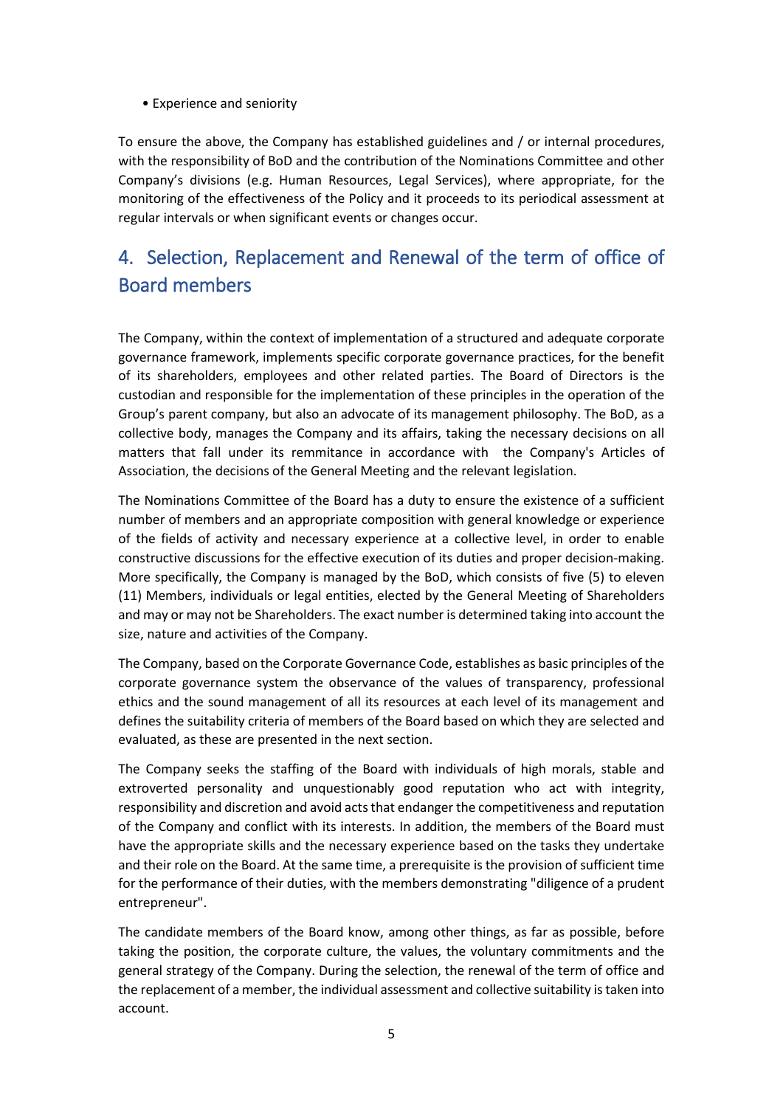• Experience and seniority

To ensure the above, the Company has established guidelines and / or internal procedures, with the responsibility of BoD and the contribution of the Nominations Committee and other Company's divisions (e.g. Human Resources, Legal Services), where appropriate, for the monitoring of the effectiveness of the Policy and it proceeds to its periodical assessment at regular intervals or when significant events or changes occur.

# <span id="page-4-0"></span>4. Selection, Replacement and Renewal of the term of office of Board members

The Company, within the context of implementation of a structured and adequate corporate governance framework, implements specific corporate governance practices, for the benefit of its shareholders, employees and other related parties. The Board of Directors is the custodian and responsible for the implementation of these principles in the operation of the Group's parent company, but also an advocate of its management philosophy. The BoD, as a collective body, manages the Company and its affairs, taking the necessary decisions on all matters that fall under its remmitance in accordance with the Company's Articles of Association, the decisions of the General Meeting and the relevant legislation.

The Nominations Committee of the Board has a duty to ensure the existence of a sufficient number of members and an appropriate composition with general knowledge or experience of the fields of activity and necessary experience at a collective level, in order to enable constructive discussions for the effective execution of its duties and proper decision-making. More specifically, the Company is managed by the BoD, which consists of five (5) to eleven (11) Members, individuals or legal entities, elected by the General Meeting of Shareholders and may or may not be Shareholders. The exact number is determined taking into account the size, nature and activities of the Company.

The Company, based on the Corporate Governance Code, establishes as basic principles of the corporate governance system the observance of the values of transparency, professional ethics and the sound management of all its resources at each level of its management and defines the suitability criteria of members of the Board based on which they are selected and evaluated, as these are presented in the next section.

The Company seeks the staffing of the Board with individuals of high morals, stable and extroverted personality and unquestionably good reputation who act with integrity, responsibility and discretion and avoid acts that endanger the competitiveness and reputation of the Company and conflict with its interests. In addition, the members of the Board must have the appropriate skills and the necessary experience based on the tasks they undertake and their role on the Board. At the same time, a prerequisite is the provision of sufficient time for the performance of their duties, with the members demonstrating "diligence of a prudent entrepreneur".

The candidate members of the Board know, among other things, as far as possible, before taking the position, the corporate culture, the values, the voluntary commitments and the general strategy of the Company. During the selection, the renewal of the term of office and the replacement of a member, the individual assessment and collective suitability is taken into account.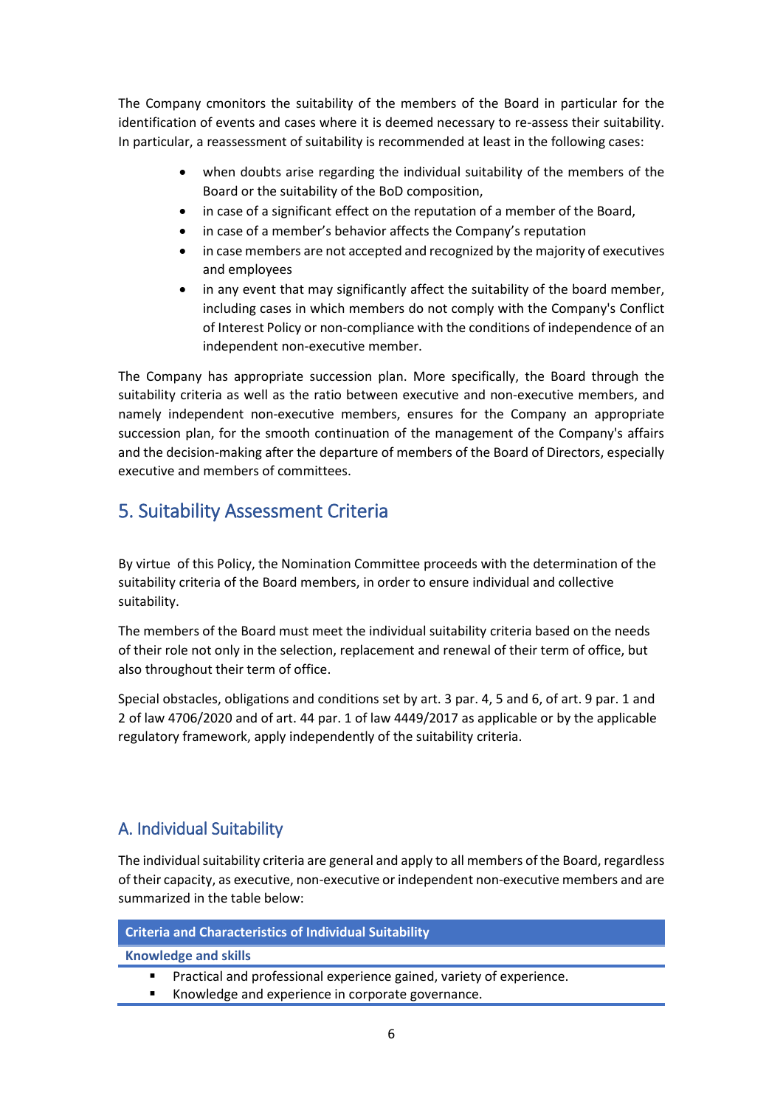The Company cmonitors the suitability of the members of the Board in particular for the identification of events and cases where it is deemed necessary to re-assess their suitability. In particular, a reassessment of suitability is recommended at least in the following cases:

- when doubts arise regarding the individual suitability of the members of the Board or the suitability of the BoD composition,
- in case of a significant effect on the reputation of a member of the Board,
- in case of a member's behavior affects the Company's reputation
- in case members are not accepted and recognized by the majority of executives and employees
- in any event that may significantly affect the suitability of the board member, including cases in which members do not comply with the Company's Conflict of Interest Policy or non-compliance with the conditions of independence of an independent non-executive member.

The Company has appropriate succession plan. More specifically, the Board through the suitability criteria as well as the ratio between executive and non-executive members, and namely independent non-executive members, ensures for the Company an appropriate succession plan, for the smooth continuation of the management of the Company's affairs and the decision-making after the departure of members of the Board of Directors, especially executive and members of committees.

# <span id="page-5-0"></span>5. Suitability Assessment Criteria

By virtue of this Policy, the Nomination Committee proceeds with the determination of the suitability criteria of the Board members, in order to ensure individual and collective suitability.

The members of the Board must meet the individual suitability criteria based on the needs of their role not only in the selection, replacement and renewal of their term of office, but also throughout their term of office.

Special obstacles, obligations and conditions set by art. 3 par. 4, 5 and 6, of art. 9 par. 1 and 2 of law 4706/2020 and of art. 44 par. 1 of law 4449/2017 as applicable or by the applicable regulatory framework, apply independently of the suitability criteria.

### Α. Individual Suitability

The individual suitability criteria are general and apply to all members of the Board, regardless of their capacity, as executive, non-executive or independent non-executive members and are summarized in the table below:

#### **Criteria and Characteristics of Individual Suitability**

**Knowledge and skills**

- Practical and professional experience gained, variety of experience.
- Knowledge and experience in corporate governance.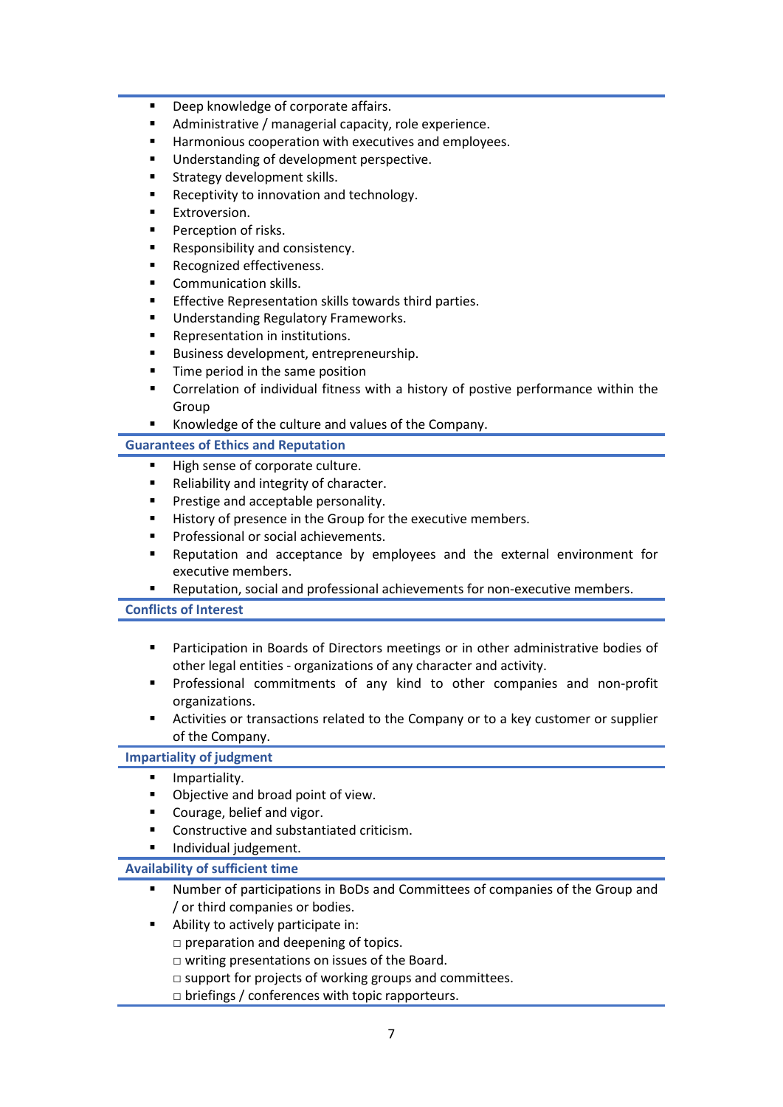- Deep knowledge of corporate affairs.
- Administrative / managerial capacity, role experience.
- **Harmonious cooperation with executives and employees.**
- Understanding of development perspective.
- Strategy development skills.
- Receptivity to innovation and technology.
- Extroversion.
- Perception of risks.
- Responsibility and consistency.
- Recognized effectiveness.
- Communication skills.
- Effective Representation skills towards third parties.
- Understanding Regulatory Frameworks.
- Representation in institutions.
- Business development, entrepreneurship.
- Time period in the same position
- Correlation of individual fitness with a history of postive performance within the Group
- Knowledge of the culture and values of the Company.

#### **Guarantees of Ethics and Reputation**

- High sense of corporate culture.
- Reliability and integrity of character.
- **Prestige and acceptable personality.**
- History of presence in the Group for the executive members.
- Professional or social achievements.
- Reputation and acceptance by employees and the external environment for executive members.
- Reputation, social and professional achievements for non-executive members.

#### **Conflicts of Interest**

- Participation in Boards of Directors meetings or in other administrative bodies of other legal entities - organizations of any character and activity.
- Professional commitments of any kind to other companies and non-profit organizations.
- Activities or transactions related to the Company or to a key customer or supplier of the Company.

#### **Impartiality of judgment**

- **Impartiality.**
- Objective and broad point of view.
- Courage, belief and vigor.
- Constructive and substantiated criticism.
- **Individual judgement.**

#### **Availability of sufficient time**

- Number of participations in BoDs and Committees of companies of the Group and / or third companies or bodies.
- Ability to actively participate in:
	- □ preparation and deepening of topics.
	- □ writing presentations on issues of the Board.
	- □ support for projects of working groups and committees.
	- $\Box$  briefings / conferences with topic rapporteurs.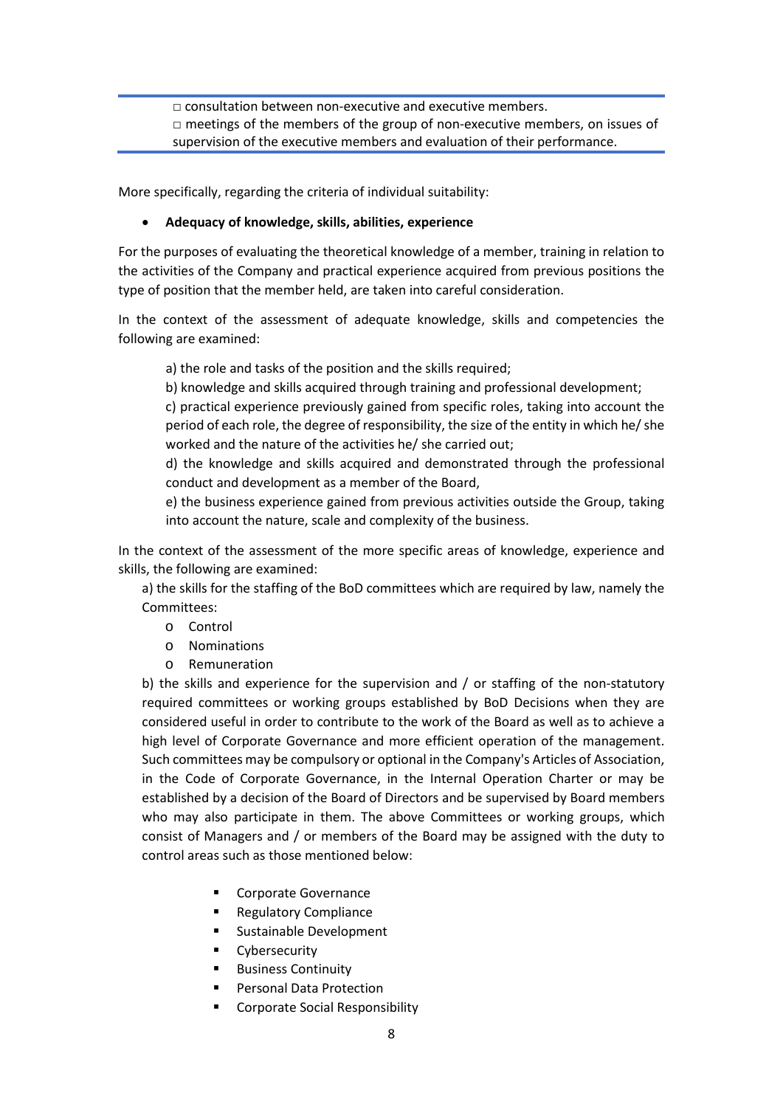□ consultation between non-executive and executive members.  $\Box$  meetings of the members of the group of non-executive members, on issues of supervision of the executive members and evaluation of their performance.

More specifically, regarding the criteria of individual suitability:

#### • **Adequacy of knowledge, skills, abilities, experience**

For the purposes of evaluating the theoretical knowledge of a member, training in relation to the activities of the Company and practical experience acquired from previous positions the type of position that the member held, are taken into careful consideration.

In the context of the assessment of adequate knowledge, skills and competencies the following are examined:

a) the role and tasks of the position and the skills required:

b) knowledge and skills acquired through training and professional development;

c) practical experience previously gained from specific roles, taking into account the period of each role, the degree of responsibility, the size of the entity in which he/ she worked and the nature of the activities he/ she carried out;

d) the knowledge and skills acquired and demonstrated through the professional conduct and development as a member of the Board,

e) the business experience gained from previous activities outside the Group, taking into account the nature, scale and complexity of the business.

In the context of the assessment of the more specific areas of knowledge, experience and skills, the following are examined:

a) the skills for the staffing of the BoD committees which are required by law, namely the Committees:

- o Control
- o Nominations
- o Remuneration

b) the skills and experience for the supervision and / or staffing of the non-statutory required committees or working groups established by BoD Decisions when they are considered useful in order to contribute to the work of the Board as well as to achieve a high level of Corporate Governance and more efficient operation of the management. Such committees may be compulsory or optional in the Company's Articles of Association, in the Code of Corporate Governance, in the Internal Operation Charter or may be established by a decision of the Board of Directors and be supervised by Board members who may also participate in them. The above Committees or working groups, which consist of Managers and / or members of the Board may be assigned with the duty to control areas such as those mentioned below:

- **EXECOPEDATE:** Corporate Governance
- Regulatory Compliance
- Sustainable Development
- Cybersecurity
- Business Continuity
- Personal Data Protection
- Corporate Social Responsibility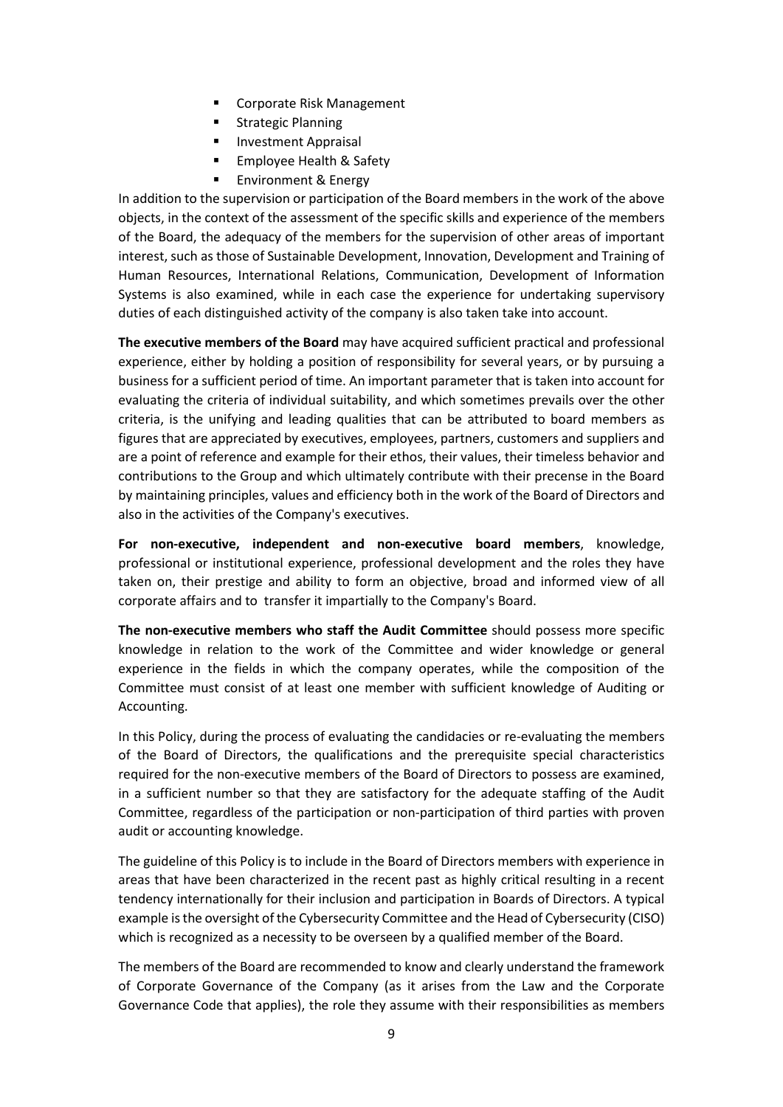- Corporate Risk Management
- Strategic Planning
- Investment Appraisal
- Employee Health & Safety
- **Environment & Energy**

In addition to the supervision or participation of the Board members in the work of the above objects, in the context of the assessment of the specific skills and experience of the members of the Board, the adequacy of the members for the supervision of other areas of important interest, such as those of Sustainable Development, Innovation, Development and Training of Human Resources, International Relations, Communication, Development of Information Systems is also examined, while in each case the experience for undertaking supervisory duties of each distinguished activity of the company is also taken take into account.

**The executive members of the Board** may have acquired sufficient practical and professional experience, either by holding a position of responsibility for several years, or by pursuing a business for a sufficient period of time. An important parameter that is taken into account for evaluating the criteria of individual suitability, and which sometimes prevails over the other criteria, is the unifying and leading qualities that can be attributed to board members as figures that are appreciated by executives, employees, partners, customers and suppliers and are a point of reference and example for their ethos, their values, their timeless behavior and contributions to the Group and which ultimately contribute with their precense in the Board by maintaining principles, values and efficiency both in the work of the Board of Directors and also in the activities of the Company's executives.

**For non-executive, independent and non-executive board members**, knowledge, professional or institutional experience, professional development and the roles they have taken on, their prestige and ability to form an objective, broad and informed view of all corporate affairs and to transfer it impartially to the Company's Board.

**The non-executive members who staff the Audit Committee** should possess more specific knowledge in relation to the work of the Committee and wider knowledge or general experience in the fields in which the company operates, while the composition of the Committee must consist of at least one member with sufficient knowledge of Auditing or Accounting.

In this Policy, during the process of evaluating the candidacies or re-evaluating the members of the Board of Directors, the qualifications and the prerequisite special characteristics required for the non-executive members of the Board of Directors to possess are examined, in a sufficient number so that they are satisfactory for the adequate staffing of the Audit Committee, regardless of the participation or non-participation of third parties with proven audit or accounting knowledge.

The guideline of this Policy is to include in the Board of Directors members with experience in areas that have been characterized in the recent past as highly critical resulting in a recent tendency internationally for their inclusion and participation in Boards of Directors. A typical example is the oversight of the Cybersecurity Committee and the Head of Cybersecurity (CISO) which is recognized as a necessity to be overseen by a qualified member of the Board.

The members of the Board are recommended to know and clearly understand the framework of Corporate Governance of the Company (as it arises from the Law and the Corporate Governance Code that applies), the role they assume with their responsibilities as members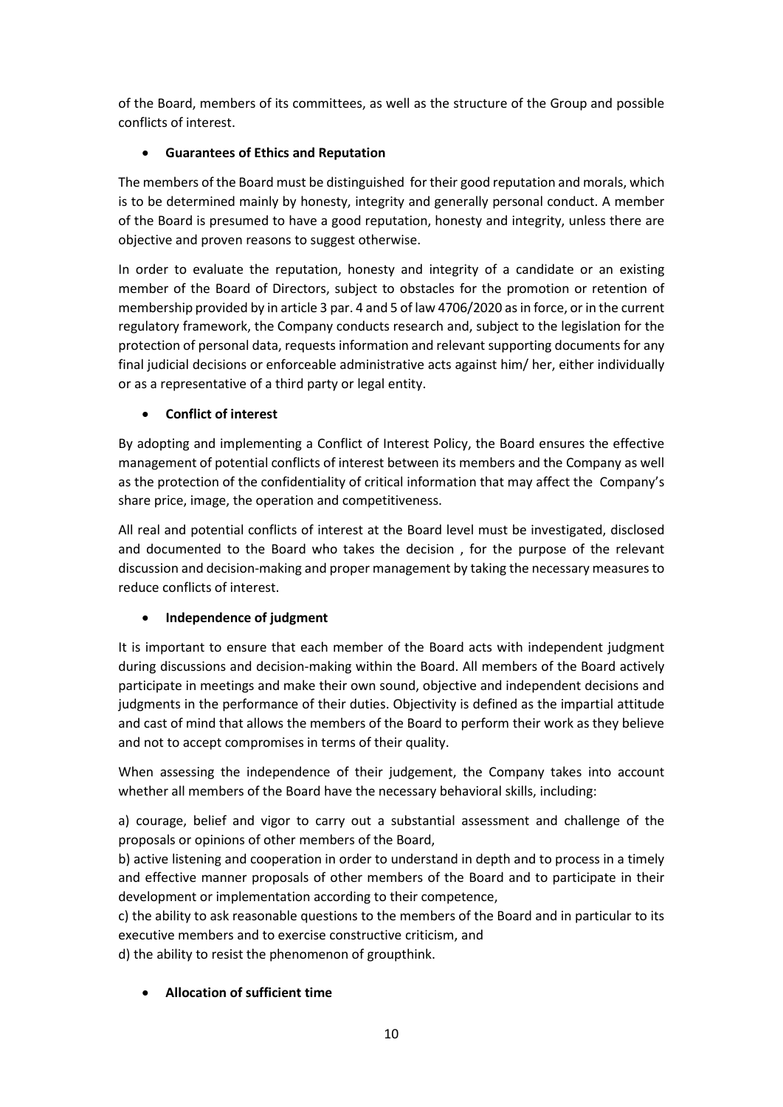of the Board, members of its committees, as well as the structure of the Group and possible conflicts of interest.

#### • **Guarantees of Ethics and Reputation**

The members of the Board must be distinguished for their good reputation and morals, which is to be determined mainly by honesty, integrity and generally personal conduct. A member of the Board is presumed to have a good reputation, honesty and integrity, unless there are objective and proven reasons to suggest otherwise.

In order to evaluate the reputation, honesty and integrity of a candidate or an existing member of the Board of Directors, subject to obstacles for the promotion or retention of membership provided by in article 3 par. 4 and 5 of law 4706/2020 as in force, or in the current regulatory framework, the Company conducts research and, subject to the legislation for the protection of personal data, requests information and relevant supporting documents for any final judicial decisions or enforceable administrative acts against him/ her, either individually or as a representative of a third party or legal entity.

#### • **Conflict of interest**

By adopting and implementing a Conflict of Interest Policy, the Board ensures the effective management of potential conflicts of interest between its members and the Company as well as the protection of the confidentiality of critical information that may affect the Company's share price, image, the operation and competitiveness.

All real and potential conflicts of interest at the Board level must be investigated, disclosed and documented to the Board who takes the decision , for the purpose of the relevant discussion and decision-making and proper management by taking the necessary measures to reduce conflicts of interest.

#### • **Independence of judgment**

It is important to ensure that each member of the Board acts with independent judgment during discussions and decision-making within the Board. All members of the Board actively participate in meetings and make their own sound, objective and independent decisions and judgments in the performance of their duties. Objectivity is defined as the impartial attitude and cast of mind that allows the members of the Board to perform their work as they believe and not to accept compromises in terms of their quality.

When assessing the independence of their judgement, the Company takes into account whether all members of the Board have the necessary behavioral skills, including:

a) courage, belief and vigor to carry out a substantial assessment and challenge of the proposals or opinions of other members of the Board,

b) active listening and cooperation in order to understand in depth and to process in a timely and effective manner proposals of other members of the Board and to participate in their development or implementation according to their competence,

c) the ability to ask reasonable questions to the members of the Board and in particular to its executive members and to exercise constructive criticism, and

d) the ability to resist the phenomenon of groupthink.

#### • **Allocation of sufficient time**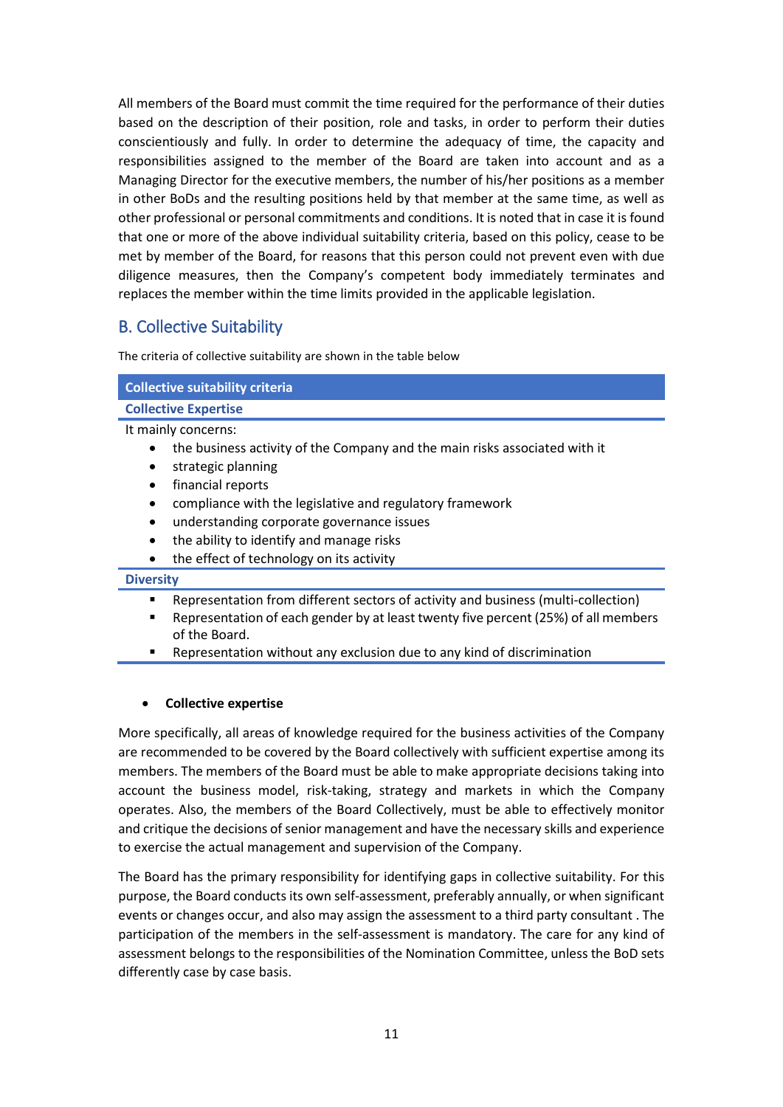All members of the Board must commit the time required for the performance of their duties based on the description of their position, role and tasks, in order to perform their duties conscientiously and fully. In order to determine the adequacy of time, the capacity and responsibilities assigned to the member of the Board are taken into account and as a Managing Director for the executive members, the number of his/her positions as a member in other BoDs and the resulting positions held by that member at the same time, as well as other professional or personal commitments and conditions. It is noted that in case it is found that one or more of the above individual suitability criteria, based on this policy, cease to be met by member of the Board, for reasons that this person could not prevent even with due diligence measures, then the Company's competent body immediately terminates and replaces the member within the time limits provided in the applicable legislation.

### B. Collective Suitability

The criteria of collective suitability are shown in the table below

| <b>Collective suitability criteria</b>                                                                          |                                                                                                                                                                                                                                                                             |
|-----------------------------------------------------------------------------------------------------------------|-----------------------------------------------------------------------------------------------------------------------------------------------------------------------------------------------------------------------------------------------------------------------------|
| <b>Collective Expertise</b>                                                                                     |                                                                                                                                                                                                                                                                             |
| It mainly concerns:<br>strategic planning<br>$\bullet$<br>financial reports<br>$\bullet$<br>$\bullet$<br>٠<br>٠ | the business activity of the Company and the main risks associated with it<br>compliance with the legislative and regulatory framework<br>understanding corporate governance issues<br>the ability to identify and manage risks<br>the effect of technology on its activity |
| <b>Diversity</b>                                                                                                |                                                                                                                                                                                                                                                                             |
| ■<br>٠<br>of the Board.                                                                                         | Representation from different sectors of activity and business (multi-collection)<br>Representation of each gender by at least twenty five percent (25%) of all members<br>Representation without any exclusion due to any kind of discrimination                           |

#### • **Collective expertise**

More specifically, all areas of knowledge required for the business activities of the Company are recommended to be covered by the Board collectively with sufficient expertise among its members. The members of the Board must be able to make appropriate decisions taking into account the business model, risk-taking, strategy and markets in which the Company operates. Also, the members of the Board Collectively, must be able to effectively monitor and critique the decisions of senior management and have the necessary skills and experience to exercise the actual management and supervision of the Company.

The Board has the primary responsibility for identifying gaps in collective suitability. For this purpose, the Board conducts its own self-assessment, preferably annually, or when significant events or changes occur, and also may assign the assessment to a third party consultant . The participation of the members in the self-assessment is mandatory. The care for any kind of assessment belongs to the responsibilities of the Nomination Committee, unless the BoD sets differently case by case basis.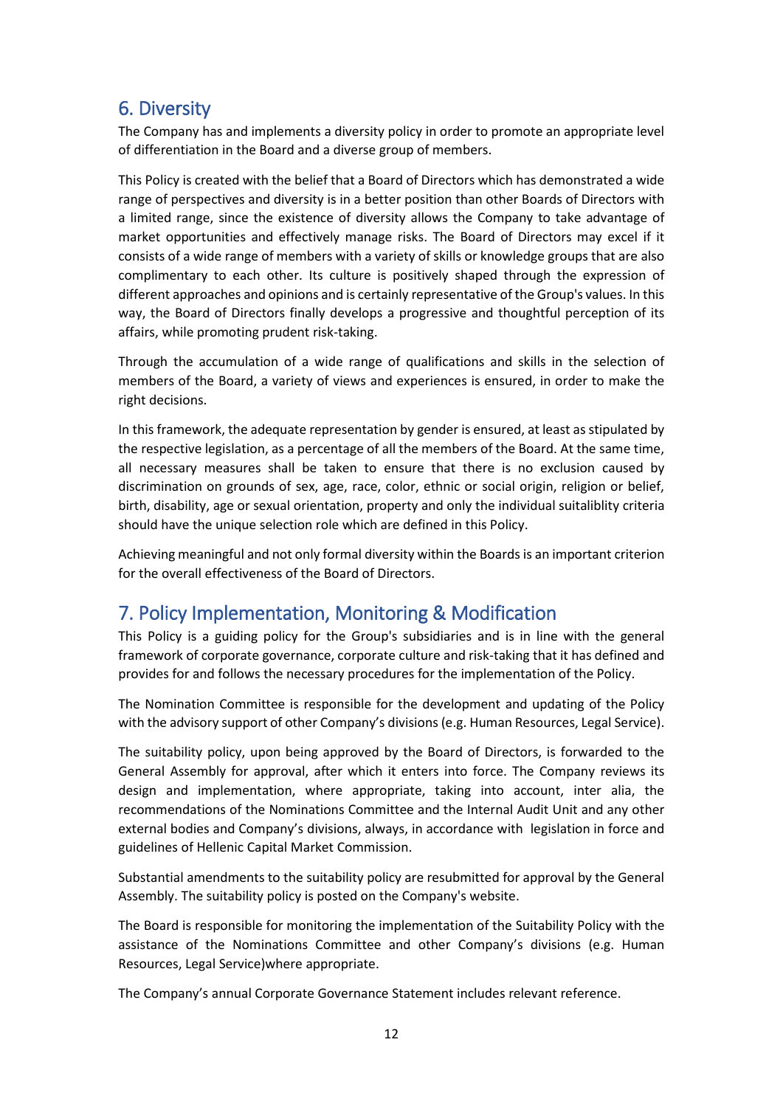## <span id="page-11-0"></span>6. Diversity

The Company has and implements a diversity policy in order to promote an appropriate level of differentiation in the Board and a diverse group of members.

This Policy is created with the belief that a Board of Directors which has demonstrated a wide range of perspectives and diversity is in a better position than other Boards of Directors with a limited range, since the existence of diversity allows the Company to take advantage of market opportunities and effectively manage risks. The Board of Directors may excel if it consists of a wide range of members with a variety of skills or knowledge groups that are also complimentary to each other. Its culture is positively shaped through the expression of different approaches and opinions and is certainly representative of the Group's values. In this way, the Board of Directors finally develops a progressive and thoughtful perception of its affairs, while promoting prudent risk-taking.

Through the accumulation of a wide range of qualifications and skills in the selection of members of the Board, a variety of views and experiences is ensured, in order to make the right decisions.

In this framework, the adequate representation by gender is ensured, at least as stipulated by the respective legislation, as a percentage of all the members of the Board. At the same time, all necessary measures shall be taken to ensure that there is no exclusion caused by discrimination on grounds of sex, age, race, color, ethnic or social origin, religion or belief, birth, disability, age or sexual orientation, property and only the individual suitaliblity criteria should have the unique selection role which are defined in this Policy.

Achieving meaningful and not only formal diversity within the Boards is an important criterion for the overall effectiveness of the Board of Directors.

## <span id="page-11-1"></span>7. Policy Implementation, Monitoring & Modification

This Policy is a guiding policy for the Group's subsidiaries and is in line with the general framework of corporate governance, corporate culture and risk-taking that it has defined and provides for and follows the necessary procedures for the implementation of the Policy.

The Nomination Committee is responsible for the development and updating of the Policy with the advisory support of other Company's divisions(e.g. Human Resources, Legal Service).

The suitability policy, upon being approved by the Board of Directors, is forwarded to the General Assembly for approval, after which it enters into force. The Company reviews its design and implementation, where appropriate, taking into account, inter alia, the recommendations of the Nominations Committee and the Internal Audit Unit and any other external bodies and Company's divisions, always, in accordance with legislation in force and guidelines of Hellenic Capital Market Commission.

Substantial amendments to the suitability policy are resubmitted for approval by the General Assembly. The suitability policy is posted on the Company's website.

The Board is responsible for monitoring the implementation of the Suitability Policy with the assistance of the Nominations Committee and other Company's divisions (e.g. Human Resources, Legal Service)where appropriate.

The Company's annual Corporate Governance Statement includes relevant reference.